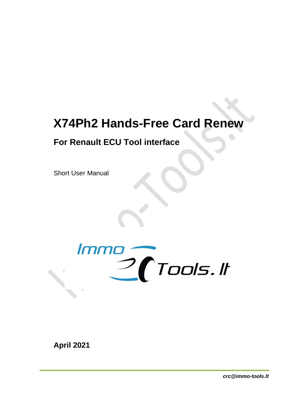## **X74Ph2 Hands-Free Card Renew**

## **For Renault ECU Tool interface**

Short User Manual



**April 2021**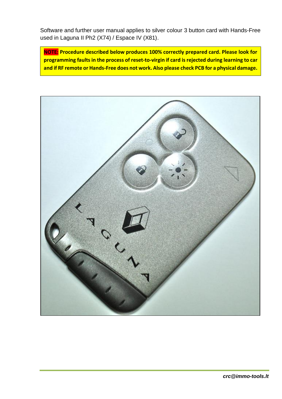Software and further user manual applies to silver colour 3 button card with Hands-Free used in Laguna II Ph2 (X74) / Espace IV (X81).

**NOTE: Procedure described below produces 100% correctly prepared card. Please look for programming faults in the process of reset-to-virgin if card is rejected during learning to car and if RF remote or Hands-Free does not work. Also please check PCB for a physical damage.**

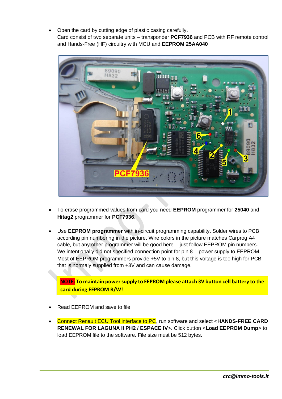• Open the card by cutting edge of plastic casing carefully. Card consist of two separate units – transponder **PCF7936** and PCB with RF remote control and Hands-Free (HF) circuitry with MCU and **EEPROM 25AA040**



- To erase programmed values from card you need **EEPROM** programmer for **25040** and **Hitag2** programmer for **PCF7936**.
- Use **EEPROM programmer** with in-circuit programming capability. Solder wires to PCB according pin numbering in the picture. Wire colors in the picture matches Carprog A4 cable, but any other programmer will be good here – just follow EEPROM pin numbers. We intentionally did not specified connection point for pin 8 – power supply to EEPROM. Most of EEPROM programmers provide +5V to pin 8, but this voltage is too high for PCB that is normaly supplied from +3V and can cause damage.

**NOTE: To maintain power supply to EEPROM please attach 3V button cell battery to the card during EEPROM R/W!**

- Read EEPROM and save to file
- Connect Renault ECU Tool interface to PC, run software and select <**HANDS-FREE CARD RENEWAL FOR LAGUNA II PH2 / ESPACE IV**>. Click button <**Load EEPROM Dump**> to load EEPROM file to the software. File size must be 512 bytes.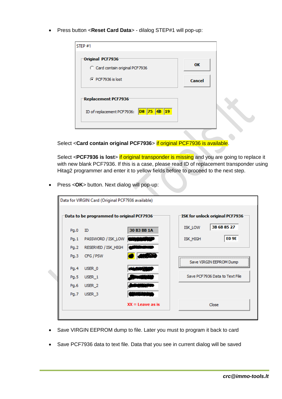• Press button <**Reset Card Data**> - dilalog STEP#1 will pop-up:

| STEP#1                                                 |        |
|--------------------------------------------------------|--------|
| Original PCF7936<br>C Card contain original PCF7936    | OK     |
| C PCF7936 is lost                                      | Cancel |
| Replacement PCF7936                                    |        |
| DS 75 4B<br>$ 19\rangle$<br>ID of replacement PCF7936: |        |

Select <**Card contain original PCF7936**> if original PCF7936 is available.

Select <PCF7936 is lost> if original transponder is missing and you are going to replace it with new blank PCF7936. If this is a case, please read ID of replacement transponder using Hitag2 programmer and enter it to yellow fields before to proceed to the next step.

• Press <**OK**> button. Next dialog will pop-up:

| Data for VIRGIN Card (Original PCF7936 available) |                     |                                 |                                 |  |  |
|---------------------------------------------------|---------------------|---------------------------------|---------------------------------|--|--|
| Data to be programmed to original PCF7936-        |                     | ISK for unlock original PCF7936 |                                 |  |  |
| Pq.0                                              | ID                  | 30 B3 BB 1A                     | 3B 6B 85 27<br><b>ISK LOW</b>   |  |  |
| Pq.1                                              | PASSWORD / ISK_LOW  |                                 | <b>EO 9E</b><br><b>ISK_HIGH</b> |  |  |
| Pq.2                                              | RESERVED / ISK_HIGH |                                 |                                 |  |  |
| Pa.3                                              | CFG / PSW           |                                 | Save VIRGIN EEPROM Dump         |  |  |
| Pq.4                                              | USER 0              |                                 |                                 |  |  |
| Pg.5                                              | USER 1              |                                 | Save PCF7936 Data to Text File  |  |  |
| Pg.6                                              | USER <sub>2</sub>   |                                 |                                 |  |  |
| Pg.7                                              | USER <sub>3</sub>   |                                 |                                 |  |  |
|                                                   |                     | $XX =$ Leave as is              | Close                           |  |  |
|                                                   |                     |                                 |                                 |  |  |

- Save VIRGIN EEPROM dump to file. Later you must to program it back to card
- Save PCF7936 data to text file. Data that you see in current dialog will be saved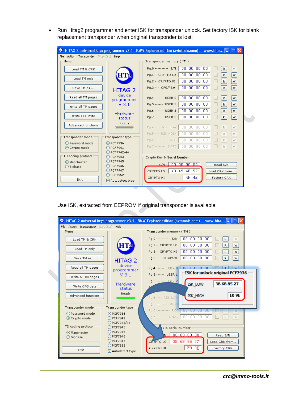• Run Hitag2 programmer and enter ISK for transponder unlock. Set factory ISK for blank replacement transponder when original transponder is lost:

| HITAG 2 universal keys programmer v3.1 - BMW Explorer edition (avtotools.com) - www.hita $\vert - \vert \vert - \vert$<br>O |                                       |                                             |  |  |  |  |
|-----------------------------------------------------------------------------------------------------------------------------|---------------------------------------|---------------------------------------------|--|--|--|--|
| File Action Transponder Stop (Esc) Help                                                                                     |                                       |                                             |  |  |  |  |
| Menu                                                                                                                        |                                       | Transponder memory (TM)                     |  |  |  |  |
| Load TM & CRK                                                                                                               |                                       | 000000000<br>Pa.0 ---------- S/N<br>R<br>W  |  |  |  |  |
| Load TM only                                                                                                                |                                       | 000000000<br>Pq.1 - CRYPTO LO<br>R<br>W     |  |  |  |  |
|                                                                                                                             |                                       | 000000000<br>Pg.2 - CRYPTO HI<br>W<br>R     |  |  |  |  |
| Save TM as                                                                                                                  | <b>HITAG 2</b>                        | 000000000<br>Pg.3 --- CFG/PSW<br>R<br>W     |  |  |  |  |
| Read all TM pages                                                                                                           | device<br>programmer                  | 000000000<br>Pg.4 ------ USER 0<br>R<br>W   |  |  |  |  |
| Write all TM pages                                                                                                          | $V$ 3.1                               | 000000000<br>Pg.5 ------ USER 1<br>R<br>W   |  |  |  |  |
|                                                                                                                             |                                       | 000000000<br>Pq.6 ------ USER 2<br>R<br>W   |  |  |  |  |
| Write CFG byte                                                                                                              | Hardware<br>status                    | 000000000<br>Pq.7 ------ USER 3  <br>R<br>W |  |  |  |  |
| Advanced functions                                                                                                          | Ready                                 |                                             |  |  |  |  |
|                                                                                                                             |                                       | Pq.4 ---- RSK LOW   00 00 00 00<br>W.<br>R. |  |  |  |  |
| Transponder mode                                                                                                            | Transponder type                      | Pq.5 --- RSK HIGH 00 00 00 00<br>R.<br>W    |  |  |  |  |
|                                                                                                                             |                                       | Pg.6 --------- RCF 00 00 00 00<br>R.<br>W.  |  |  |  |  |
| O Password mode<br>⊙ Crypto mode                                                                                            | O PCF7936<br>$)$ PCF7941              | Pg.7 ------- SYNC 00 00 00 00<br>R.<br>W.   |  |  |  |  |
|                                                                                                                             | PCF7942/44                            |                                             |  |  |  |  |
| TD coding protocol                                                                                                          | PCF7943<br>Crypto Key & Serial Number |                                             |  |  |  |  |
| ⊙ Manchester                                                                                                                | PCF7945<br>ing an ing an<br>S/M       |                                             |  |  |  |  |
| ◯ Biphase                                                                                                                   | <b>PCF7946</b>                        | Read S/N                                    |  |  |  |  |
|                                                                                                                             | <b>PCF7947</b><br>PCF7952             | 4D 49 4B 52<br>CRYPTO LO<br>Load CRK from   |  |  |  |  |
| Exit                                                                                                                        | Autodetect type                       | $4F$ $4E$<br>CRYPTO HI<br>Factory CRK       |  |  |  |  |
|                                                                                                                             |                                       |                                             |  |  |  |  |

Use ISK, extracted from EEPROM if original transponder is available:

|                                                        | $\bullet$ HITAG 2 universal keys programmer v3.1 - BMW Explorer edition (avtotools.com) - www.hita $\Box$ |
|--------------------------------------------------------|-----------------------------------------------------------------------------------------------------------|
| File Action Transponder Stop (Esc) Help<br>Menu        | Transponder memory (TM) :                                                                                 |
| Load TM & CRK                                          | 000000000<br>Pa.0 ---------- S/N  <br>R<br>W.                                                             |
| HT.<br>Load TM only                                    | 000000000<br>Pq.1 - CRYPTO LO<br>R<br>w                                                                   |
|                                                        | 000000000<br>Pg.2 - CRYPTO HI<br>R<br>w                                                                   |
| Save TM as<br><b>HITAG 2</b>                           | Pq.3 --- CFG/PSW<br>000000000<br>R<br>W.                                                                  |
| device<br>Read all TM pages<br>programmer              | Pq.4 ------ USER $0$ $\perp$                                                                              |
| $V$ 3.1<br>Write all TM pages                          | ISK for unlock original PCF7936-<br>Pq.5 ------ USER 1                                                    |
| Hardware<br>Write CFG byte                             | Pg.6 ------ USER 2<br><b>ISK_LOW</b><br>3B 6B 85 27                                                       |
| status<br>Ready                                        |                                                                                                           |
| Advanced functions                                     | <b>EO 9E</b><br><b>ISK HIGH</b><br>Pg.4 ---- RSK LOW                                                      |
| Transponder mode<br>Transponder type                   | Pq.5 --- RSK HIGH                                                                                         |
| O Password mode<br>O PCF7936                           | Pa.6 ---------- RCF 00 00 00 00<br>W                                                                      |
| ⊙ Crypto mode<br><b>PCF7941</b><br>PCF7942/44          | Pa.7 ------- SYNC   80 00 00 00<br>R.<br>W.                                                               |
| TD coding protocol<br>◯ PCF7943                        | v & Serial Number                                                                                         |
| <b>PCF7945</b><br>Manchester<br>O PCF7946<br>O Biphase | 000000000<br>Read S/N                                                                                     |
| <b>PCF7947</b><br><b>PCF7952</b>                       | 3B 6B 85 27<br>CRYPTO LO<br>Load CRK from                                                                 |
| Exit<br>$\triangledown$ Autodetect type                | E0 9E<br>CRYPTO HI<br>Factory CRK                                                                         |
|                                                        |                                                                                                           |